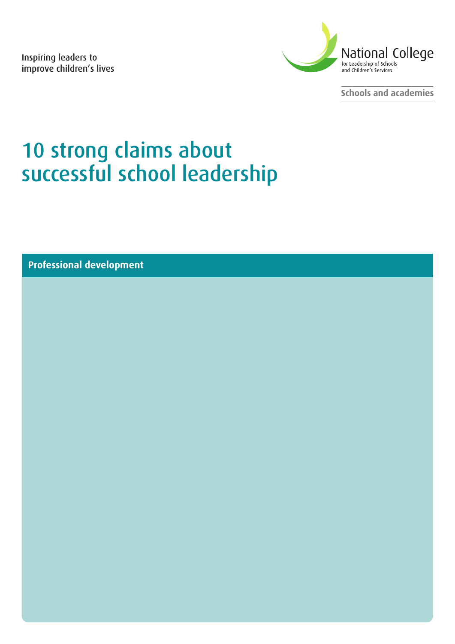**Inspiring leaders to improve children's lives**



**Schools and academies**

# **10 strong claims about successful school leadership**

**Professional development**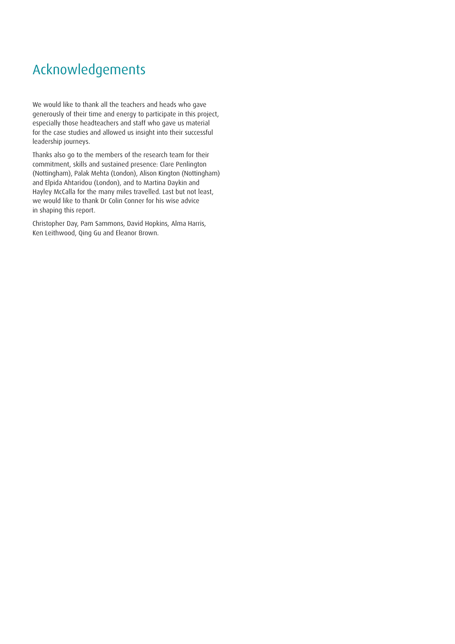# Acknowledgements

We would like to thank all the teachers and heads who gave generously of their time and energy to participate in this project, especially those headteachers and staff who gave us material for the case studies and allowed us insight into their successful leadership journeys.

Thanks also go to the members of the research team for their commitment, skills and sustained presence: Clare Penlington (Nottingham), Palak Mehta (London), Alison Kington (Nottingham) and Elpida Ahtaridou (London), and to Martina Daykin and Hayley McCalla for the many miles travelled. Last but not least, we would like to thank Dr Colin Conner for his wise advice in shaping this report.

Christopher Day, Pam Sammons, David Hopkins, Alma Harris, Ken Leithwood, Qing Gu and Eleanor Brown.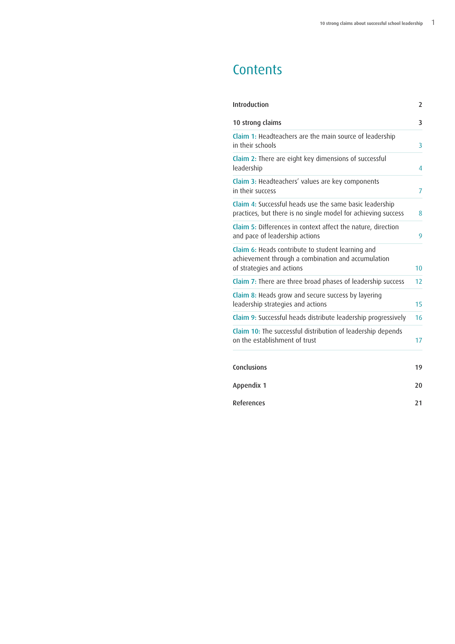# **Contents**

| Introduction                                                                                                                         | $\overline{2}$ |
|--------------------------------------------------------------------------------------------------------------------------------------|----------------|
| 10 strong claims                                                                                                                     | 3              |
| Claim 1: Headteachers are the main source of leadership<br>in their schools                                                          | 3              |
| Claim 2: There are eight key dimensions of successful<br>leadership                                                                  | 4              |
| Claim 3: Headteachers' values are key components<br>in their success                                                                 | 7              |
| Claim 4: Successful heads use the same basic leadership<br>practices, but there is no single model for achieving success             | 8              |
| Claim 5: Differences in context affect the nature, direction<br>and pace of leadership actions                                       | 9              |
| Claim 6: Heads contribute to student learning and<br>achievement through a combination and accumulation<br>of strategies and actions | 10             |
| Claim 7: There are three broad phases of leadership success                                                                          | 12             |
| Claim 8: Heads grow and secure success by layering<br>leadership strategies and actions                                              | 15             |
| Claim 9: Successful heads distribute leadership progressively                                                                        | 16             |
| Claim 10: The successful distribution of leadership depends<br>on the establishment of trust                                         | 17             |
| Conclusions                                                                                                                          | 19             |
| Appendix 1                                                                                                                           | 20             |
| References                                                                                                                           | 21             |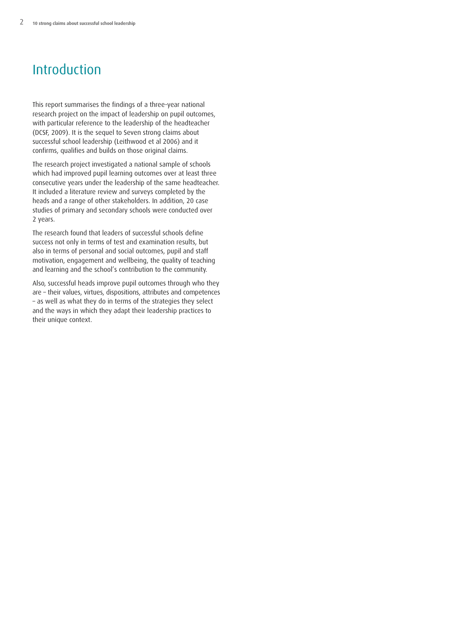# <span id="page-3-0"></span>Introduction

This report summarises the findings of a three-year national research project on the impact of leadership on pupil outcomes, with particular reference to the leadership of the headteacher (DCSF, 2009). It is the sequel to Seven strong claims about successful school leadership (Leithwood et al 2006) and it confirms, qualifies and builds on those original claims.

The research project investigated a national sample of schools which had improved pupil learning outcomes over at least three consecutive years under the leadership of the same headteacher. It included a literature review and surveys completed by the heads and a range of other stakeholders. In addition, 20 case studies of primary and secondary schools were conducted over 2 years.

The research found that leaders of successful schools define success not only in terms of test and examination results, but also in terms of personal and social outcomes, pupil and staff motivation, engagement and wellbeing, the quality of teaching and learning and the school's contribution to the community.

Also, successful heads improve pupil outcomes through who they are – their values, virtues, dispositions, attributes and competences – as well as what they do in terms of the strategies they select and the ways in which they adapt their leadership practices to their unique context.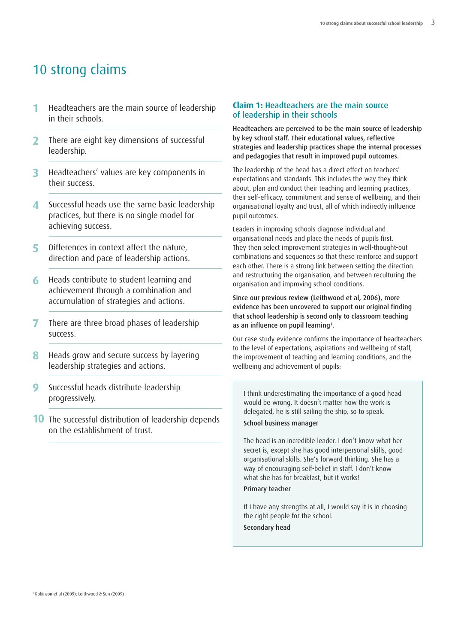# <span id="page-4-0"></span>10 strong claims

- **1** Headteachers are the main source of leadership in their schools.
- **2** There are eight key dimensions of successful leadership.
- **3** Headteachers' values are key components in their success.
- **4** Successful heads use the same basic leadership practices, but there is no single model for achieving success.
- **5** Differences in context affect the nature, direction and pace of leadership actions.
- **6** Heads contribute to student learning and achievement through a combination and accumulation of strategies and actions.
- **7** There are three broad phases of leadership success.
- **8** Heads grow and secure success by layering leadership strategies and actions.
- **9** Successful heads distribute leadership progressively.
- **10** The successful distribution of leadership depends on the establishment of trust.

### **Claim 1: Headteachers are the main source of leadership in their schools**

**Headteachers are perceived to be the main source of leadership by key school staff. Their educational values, reflective strategies and leadership practices shape the internal processes and pedagogies that result in improved pupil outcomes.**

The leadership of the head has a direct effect on teachers' expectations and standards. This includes the way they think about, plan and conduct their teaching and learning practices, their self-efficacy, commitment and sense of wellbeing, and their organisational loyalty and trust, all of which indirectly influence pupil outcomes.

Leaders in improving schools diagnose individual and organisational needs and place the needs of pupils first. They then select improvement strategies in well-thought-out combinations and sequences so that these reinforce and support each other. There is a strong link between setting the direction and restructuring the organisation, and between reculturing the organisation and improving school conditions.

**Since our previous review (Leithwood et al, 2006), more evidence has been uncovered to support our original finding that school leadership is second only to classroom teaching as an influence on pupil learning1.**

Our case study evidence confirms the importance of headteachers to the level of expectations, aspirations and wellbeing of staff, the improvement of teaching and learning conditions, and the wellbeing and achievement of pupils:

I think underestimating the importance of a good head would be wrong. It doesn't matter how the work is delegated, he is still sailing the ship, so to speak.

**School business manager**

The head is an incredible leader. I don't know what her secret is, except she has good interpersonal skills, good organisational skills. She's forward thinking. She has a way of encouraging self-belief in staff. I don't know what she has for breakfast, but it works!

# **Primary teacher**

If I have any strengths at all, I would say it is in choosing the right people for the school.

**Secondary head**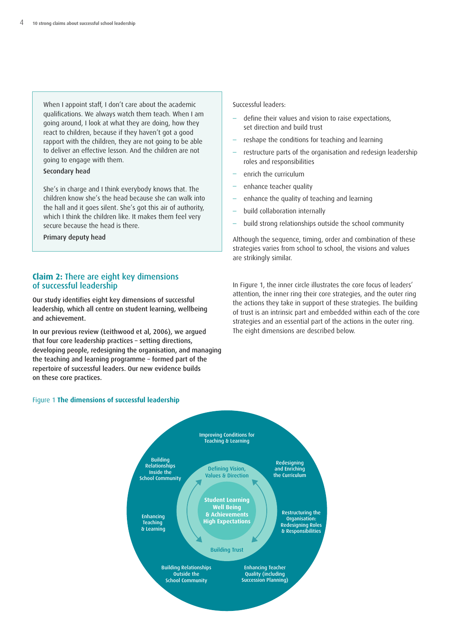<span id="page-5-0"></span>When I appoint staff, I don't care about the academic qualifications. We always watch them teach. When I am going around, I look at what they are doing, how they react to children, because if they haven't got a good rapport with the children, they are not going to be able to deliver an effective lesson. And the children are not going to engage with them.

#### **Secondary head**

She's in charge and I think everybody knows that. The children know she's the head because she can walk into the hall and it goes silent. She's got this air of authority, which I think the children like. It makes them feel very secure because the head is there.

**Primary deputy head**

# **Claim 2: There are eight key dimensions of successful leadership**

**Our study identifies eight key dimensions of successful leadership, which all centre on student learning, wellbeing and achievement.**

**In our previous review (Leithwood et al, 2006), we argued that four core leadership practices – setting directions, developing people, redesigning the organisation, and managing the teaching and learning programme – formed part of the repertoire of successful leaders. Our new evidence builds on these core practices.**

#### Successful leaders:

- define their values and vision to raise expectations, set direction and build trust
- reshape the conditions for teaching and learning
- restructure parts of the organisation and redesign leadership roles and responsibilities
- enrich the curriculum
- enhance teacher quality
- enhance the quality of teaching and learning
- build collaboration internally
- build strong relationships outside the school community

Although the sequence, timing, order and combination of these strategies varies from school to school, the visions and values are strikingly similar.

In Figure 1, the inner circle illustrates the core focus of leaders' attention, the inner ring their core strategies, and the outer ring the actions they take in support of these strategies. The building of trust is an intrinsic part and embedded within each of the core strategies and an essential part of the actions in the outer ring. The eight dimensions are described below.

#### Figure 1 **The dimensions of successful leadership**

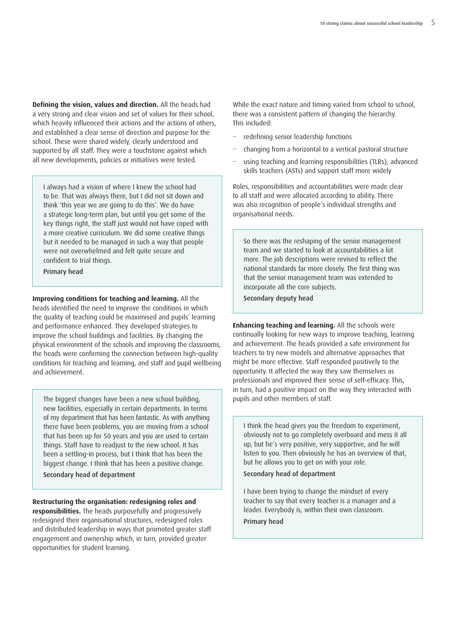**Defining the vision, values and direction.** All the heads had a very strong and clear vision and set of values for their school, which heavily influenced their actions and the actions of others, and established a clear sense of direction and purpose for the school. These were shared widely, clearly understood and supported by all staff. They were a touchstone against which all new developments, policies or initiatives were tested.

I always had a vision of where I knew the school had to be. That was always there, but I did not sit down and think 'this year we are going to do this'. We do have a strategic long-term plan, but until you get some of the key things right, the staff just would not have coped with a more creative curriculum. We did some creative things but it needed to be managed in such a way that people were not overwhelmed and felt quite secure and confident to trial things.

**Primary head**

**Improving conditions for teaching and learning.** All the heads identified the need to improve the conditions in which the quality of teaching could be maximised and pupils' learning and performance enhanced. They developed strategies to improve the school buildings and facilities. By changing the physical environment of the schools and improving the classrooms, the heads were confirming the connection between high-quality conditions for teaching and learning, and staff and pupil wellbeing and achievement.

The biggest changes have been a new school building, new facilities, especially in certain departments. In terms of my department that has been fantastic. As with anything there have been problems, you are moving from a school that has been up for 50 years and you are used to certain things. Staff have to readjust to the new school. It has been a settling-in process, but I think that has been the biggest change. I think that has been a positive change. **Secondary head of department**

**Restructuring the organisation: redesigning roles and responsibilities.** The heads purposefully and progressively redesigned their organisational structures, redesigned roles and distributed leadership in ways that promoted greater staff engagement and ownership which, in turn, provided greater opportunities for student learning.

While the exact nature and timing varied from school to school, there was a consistent pattern of changing the hierarchy. This included:

- redefining senior leadership functions
- changing from a horizontal to a vertical pastoral structure
- using teaching and learning responsibilities (TLRs), advanced skills teachers (ASTs) and support staff more widely

Roles, responsibilities and accountabilities were made clear to all staff and were allocated according to ability. There was also recognition of people's individual strengths and organisational needs.

So there was the reshaping of the senior management team and we started to look at accountabilities a lot more. The job descriptions were revised to reflect the national standards far more closely. The first thing was that the senior management team was extended to incorporate all the core subjects.

**Secondary deputy head**

**Enhancing teaching and learning.** All the schools were continually looking for new ways to improve teaching, learning and achievement. The heads provided a safe environment for teachers to try new models and alternative approaches that might be more effective. Staff responded positively to the opportunity. It affected the way they saw themselves as professionals and improved their sense of self-efficacy. This, in turn, had a positive impact on the way they interacted with pupils and other members of staff.

I think the head gives you the freedom to experiment, obviously not to go completely overboard and mess it all up, but he's very positive, very supportive, and he will listen to you. Then obviously he has an overview of that, but he allows you to get on with your role.

**Secondary head of department**

I have been trying to change the mindset of every teacher to say that every teacher is a manager and a leader. Everybody is, within their own classroom. **Primary head**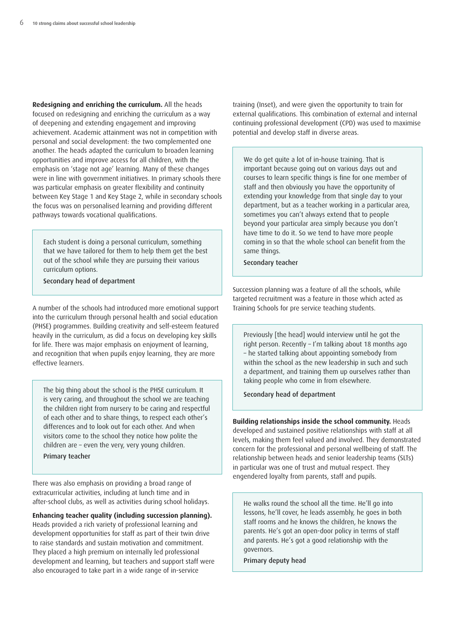**Redesigning and enriching the curriculum.** All the heads focused on redesigning and enriching the curriculum as a way of deepening and extending engagement and improving achievement. Academic attainment was not in competition with personal and social development: the two complemented one another. The heads adapted the curriculum to broaden learning opportunities and improve access for all children, with the emphasis on 'stage not age' learning. Many of these changes were in line with government initiatives. In primary schools there was particular emphasis on greater flexibility and continuity between Key Stage 1 and Key Stage 2, while in secondary schools the focus was on personalised learning and providing different pathways towards vocational qualifications.

Each student is doing a personal curriculum, something that we have tailored for them to help them get the best out of the school while they are pursuing their various curriculum options.

**Secondary head of department**

A number of the schools had introduced more emotional support into the curriculum through personal health and social education (PHSE) programmes. Building creativity and self-esteem featured heavily in the curriculum, as did a focus on developing key skills for life. There was major emphasis on enjoyment of learning, and recognition that when pupils enjoy learning, they are more effective learners.

The big thing about the school is the PHSE curriculum. It is very caring, and throughout the school we are teaching the children right from nursery to be caring and respectful of each other and to share things, to respect each other's differences and to look out for each other. And when visitors come to the school they notice how polite the children are – even the very, very young children. **Primary teacher**

There was also emphasis on providing a broad range of extracurricular activities, including at lunch time and in after-school clubs, as well as activities during school holidays.

**Enhancing teacher quality (including succession planning).** Heads provided a rich variety of professional learning and development opportunities for staff as part of their twin drive to raise standards and sustain motivation and commitment. They placed a high premium on internally led professional development and learning, but teachers and support staff were also encouraged to take part in a wide range of in-service

training (Inset), and were given the opportunity to train for external qualifications. This combination of external and internal continuing professional development (CPD) was used to maximise potential and develop staff in diverse areas.

We do get quite a lot of in-house training. That is important because going out on various days out and courses to learn specific things is fine for one member of staff and then obviously you have the opportunity of extending your knowledge from that single day to your department, but as a teacher working in a particular area, sometimes you can't always extend that to people beyond your particular area simply because you don't have time to do it. So we tend to have more people coming in so that the whole school can benefit from the same things.

**Secondary teacher**

Succession planning was a feature of all the schools, while targeted recruitment was a feature in those which acted as Training Schools for pre service teaching students.

Previously [the head] would interview until he got the right person. Recently – I'm talking about 18 months ago – he started talking about appointing somebody from within the school as the new leadership in such and such a department, and training them up ourselves rather than taking people who come in from elsewhere.

**Secondary head of department**

**Building relationships inside the school community.** Heads developed and sustained positive relationships with staff at all levels, making them feel valued and involved. They demonstrated concern for the professional and personal wellbeing of staff. The relationship between heads and senior leadership teams (SLTs) in particular was one of trust and mutual respect. They engendered loyalty from parents, staff and pupils.

He walks round the school all the time. He'll go into lessons, he'll cover, he leads assembly, he goes in both staff rooms and he knows the children, he knows the parents. He's got an open-door policy in terms of staff and parents. He's got a good relationship with the governors.

**Primary deputy head**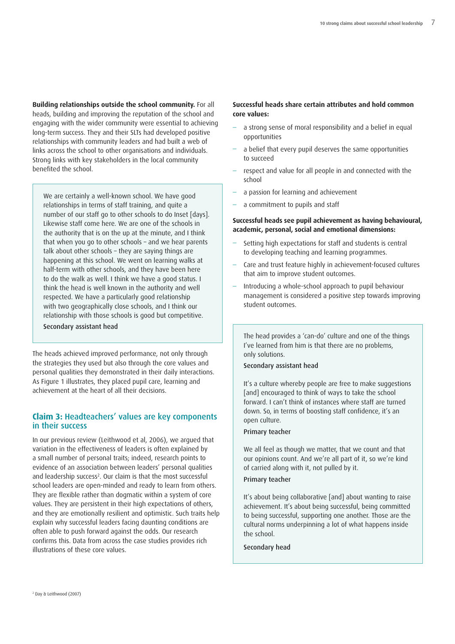<span id="page-8-0"></span>**Building relationships outside the school community.** For all heads, building and improving the reputation of the school and engaging with the wider community were essential to achieving long-term success. They and their SLTs had developed positive relationships with community leaders and had built a web of links across the school to other organisations and individuals. Strong links with key stakeholders in the local community benefited the school.

We are certainly a well-known school. We have good relationships in terms of staff training, and quite a number of our staff go to other schools to do Inset [days]. Likewise staff come here. We are one of the schools in the authority that is on the up at the minute, and I think that when you go to other schools – and we hear parents talk about other schools – they are saying things are happening at this school. We went on learning walks at half-term with other schools, and they have been here to do the walk as well. I think we have a good status. I think the head is well known in the authority and well respected. We have a particularly good relationship with two geographically close schools, and I think our relationship with those schools is good but competitive.

**Secondary assistant head**

The heads achieved improved performance, not only through the strategies they used but also through the core values and personal qualities they demonstrated in their daily interactions. As Figure 1 illustrates, they placed pupil care, learning and achievement at the heart of all their decisions.

# **Claim 3: Headteachers' values are key components in their success**

In our previous review (Leithwood et al, 2006), we argued that variation in the effectiveness of leaders is often explained by a small number of personal traits; indeed, research points to evidence of an association between leaders' personal qualities and leadership success<sup>2</sup>. Our claim is that the most successful school leaders are open-minded and ready to learn from others. They are flexible rather than dogmatic within a system of core values. They are persistent in their high expectations of others, and they are emotionally resilient and optimistic. Such traits help explain why successful leaders facing daunting conditions are often able to push forward against the odds. Our research confirms this. Data from across the case studies provides rich illustrations of these core values.

# **Successful heads share certain attributes and hold common core values:**

- a strong sense of moral responsibility and a belief in equal opportunities
- a belief that every pupil deserves the same opportunities to succeed
- respect and value for all people in and connected with the school
- a passion for learning and achievement
- a commitment to pupils and staff

### **Successful heads see pupil achievement as having behavioural, academic, personal, social and emotional dimensions:**

- Setting high expectations for staff and students is central to developing teaching and learning programmes.
- Care and trust feature highly in achievement-focused cultures that aim to improve student outcomes.
- Introducing a whole-school approach to pupil behaviour management is considered a positive step towards improving student outcomes.

The head provides a 'can-do' culture and one of the things I've learned from him is that there are no problems, only solutions.

#### **Secondary assistant head**

It's a culture whereby people are free to make suggestions [and] encouraged to think of ways to take the school forward. I can't think of instances where staff are turned down. So, in terms of boosting staff confidence, it's an open culture.

#### **Primary teacher**

We all feel as though we matter, that we count and that our opinions count. And we're all part of it, so we're kind of carried along with it, not pulled by it.

# **Primary teacher**

It's about being collaborative [and] about wanting to raise achievement. It's about being successful, being committed to being successful, supporting one another. Those are the cultural norms underpinning a lot of what happens inside the school.

#### **Secondary head**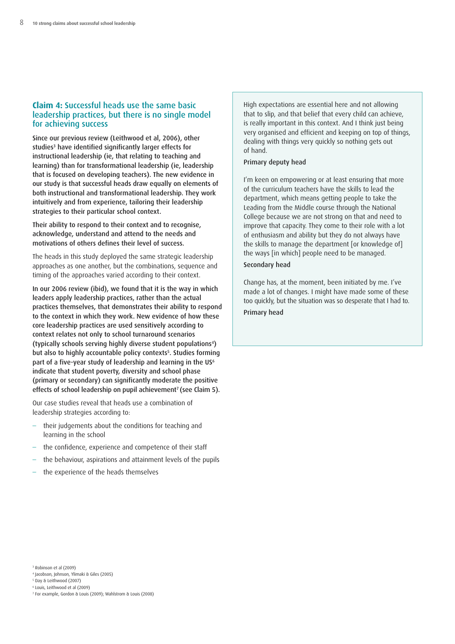# <span id="page-9-0"></span>**Claim 4: Successful heads use the same basic leadership practices, but there is no single model for achieving success**

**Since our previous review (Leithwood et al, 2006), other studies3 have identified significantly larger effects for instructional leadership (ie, that relating to teaching and learning) than for transformational leadership (ie, leadership that is focused on developing teachers). The new evidence in our study is that successful heads draw equally on elements of both instructional and transformational leadership. They work intuitively and from experience, tailoring their leadership strategies to their particular school context.**

**Their ability to respond to their context and to recognise, acknowledge, understand and attend to the needs and motivations of others defines their level of success.**

The heads in this study deployed the same strategic leadership approaches as one another, but the combinations, sequence and timing of the approaches varied according to their context.

**In our 2006 review (ibid), we found that it is the way in which leaders apply leadership practices, rather than the actual practices themselves, that demonstrates their ability to respond to the context in which they work. New evidence of how these core leadership practices are used sensitively according to context relates not only to school turnaround scenarios (typically schools serving highly diverse student populations4) but also to highly accountable policy contexts5. Studies forming part of a five-year study of leadership and learning in the US6 indicate that student poverty, diversity and school phase (primary or secondary) can significantly moderate the positive effects of school leadership on pupil achievement7 (see Claim 5).**

Our case studies reveal that heads use a combination of leadership strategies according to:

- their judgements about the conditions for teaching and learning in the school
- the confidence, experience and competence of their staff
- the behaviour, aspirations and attainment levels of the pupils
- the experience of the heads themselves

High expectations are essential here and not allowing that to slip, and that belief that every child can achieve, is really important in this context. And I think just being very organised and efficient and keeping on top of things, dealing with things very quickly so nothing gets out of hand.

#### **Primary deputy head**

I'm keen on empowering or at least ensuring that more of the curriculum teachers have the skills to lead the department, which means getting people to take the Leading from the Middle course through the National College because we are not strong on that and need to improve that capacity. They come to their role with a lot of enthusiasm and ability but they do not always have the skills to manage the department [or knowledge of] the ways [in which] people need to be managed.

# **Secondary head**

Change has, at the moment, been initiated by me. I've made a lot of changes. I might have made some of these too quickly, but the situation was so desperate that I had to. **Primary head**

- <sup>4</sup> Jacobson, Johnson, Ylimaki & Giles (2005)
- <sup>5</sup> Day & Leithwood (2007)
- <sup>6</sup> Louis, Leithwood et al (2009)
- <sup>7</sup> For example, Gordon & Louis (2009); Wahlstrom & Louis (2008)

<sup>3</sup> Robinson et al (2009)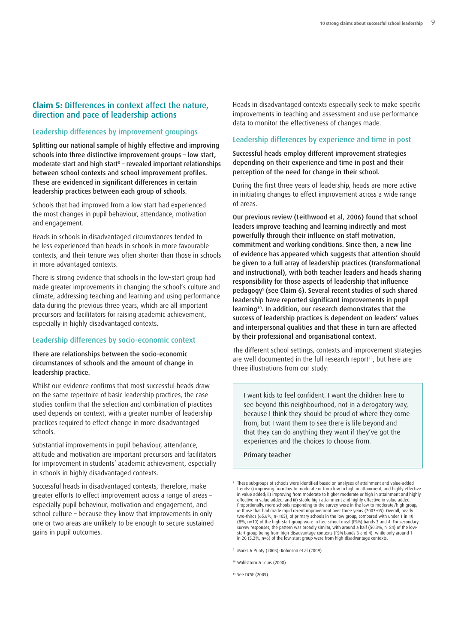# <span id="page-10-0"></span>**Claim 5: Differences in context affect the nature, direction and pace of leadership actions**

# **Leadership differences by improvement groupings**

**Splitting our national sample of highly effective and improving schools into three distinctive improvement groups – low start, moderate start and high start8 – revealed important relationships between school contexts and school improvement profiles. These are evidenced in significant differences in certain leadership practices between each group of schools.**

Schools that had improved from a low start had experienced the most changes in pupil behaviour, attendance, motivation and engagement.

Heads in schools in disadvantaged circumstances tended to be less experienced than heads in schools in more favourable contexts, and their tenure was often shorter than those in schools in more advantaged contexts.

There is strong evidence that schools in the low-start group had made greater improvements in changing the school's culture and climate, addressing teaching and learning and using performance data during the previous three years, which are all important precursors and facilitators for raising academic achievement, especially in highly disadvantaged contexts.

#### **Leadership differences by socio-economic context**

**There are relationships between the socio-economic circumstances of schools and the amount of change in leadership practice.**

Whilst our evidence confirms that most successful heads draw on the same repertoire of basic leadership practices, the case studies confirm that the selection and combination of practices used depends on context, with a greater number of leadership practices required to effect change in more disadvantaged schools.

Substantial improvements in pupil behaviour, attendance, attitude and motivation are important precursors and facilitators for improvement in students' academic achievement, especially in schools in highly disadvantaged contexts.

Successful heads in disadvantaged contexts, therefore, make greater efforts to effect improvement across a range of areas – especially pupil behaviour, motivation and engagement, and school culture – because they know that improvements in only one or two areas are unlikely to be enough to secure sustained gains in pupil outcomes.

Heads in disadvantaged contexts especially seek to make specific improvements in teaching and assessment and use performance data to monitor the effectiveness of changes made.

#### **Leadership differences by experience and time in post**

**Successful heads employ different improvement strategies depending on their experience and time in post and their perception of the need for change in their school.**

During the first three years of leadership, heads are more active in initiating changes to effect improvement across a wide range of areas.

**Our previous review (Leithwood et al, 2006) found that school leaders improve teaching and learning indirectly and most powerfully through their influence on staff motivation, commitment and working conditions. Since then, a new line of evidence has appeared which suggests that attention should be given to a full array of leadership practices (transformational and instructional), with both teacher leaders and heads sharing responsibility for those aspects of leadership that influence pedagogy9 (see Claim 6). Several recent studies of such shared leadership have reported significant improvements in pupil learning10. In addition, our research demonstrates that the success of leadership practices is dependent on leaders' values and interpersonal qualities and that these in turn are affected by their professional and organisational context.**

The different school settings, contexts and improvement strategies are well documented in the full research report<sup>11</sup>, but here are three illustrations from our study:

I want kids to feel confident. I want the children here to see beyond this neighbourhood, not in a derogatory way, because I think they should be proud of where they come from, but I want them to see there is life beyond and that they can do anything they want if they've got the experiences and the choices to choose from.

#### **Primary teacher**

<sup>8</sup> These subgroups of schools were identified based on analyses of attainment and value-added trends: i) improving from low to moderate or from low to high in attainment, and highly effective in value added; ii) improving from moderate to higher moderate or high in attainment and highly effective in value added; and iii) stable high attainment and highly effective in value added. Proportionally, more schools responding to the survey were in the low to moderate/high group, ie those that had made rapid recent improvement over three years (2003-05). Overall, nearly two-thirds (65.6%, n=105), of primary schools in the low group, compared with under 1 in 10 (8%, n=10) of the high-start group were in free school meal (FSM) bands 3 and 4. For secondary survey responses, the pattern was broadly similar, with around a half (50.3%, n=84) of the low-start group being from high-disadvantage contexts (FSM bands 3 and 4), while only around 1 in 20  $(5.2\%)$ , n=6) of the low-start group were from high-disadvantage contexts.

<sup>9</sup> Marks & Printy (2003); Robinson et al (2009)

<sup>10</sup> Wahlstrom & Louis (2008)

<sup>11</sup> See DCSF (2009)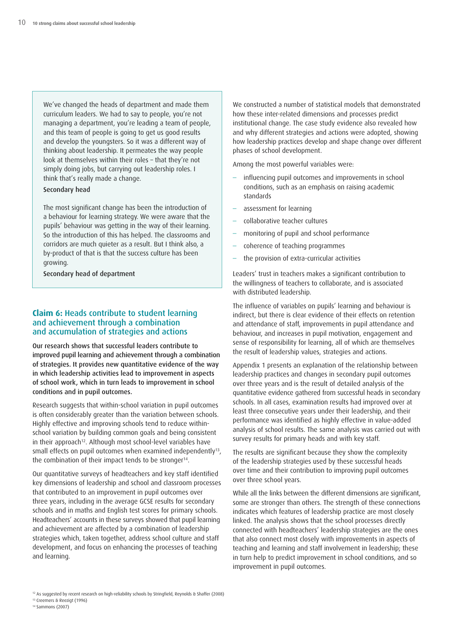<span id="page-11-0"></span>We've changed the heads of department and made them curriculum leaders. We had to say to people, you're not managing a department, you're leading a team of people, and this team of people is going to get us good results and develop the youngsters. So it was a different way of thinking about leadership. It permeates the way people look at themselves within their roles – that they're not simply doing jobs, but carrying out leadership roles. I think that's really made a change.

#### **Secondary head**

The most significant change has been the introduction of a behaviour for learning strategy. We were aware that the pupils' behaviour was getting in the way of their learning. So the introduction of this has helped. The classrooms and corridors are much quieter as a result. But I think also, a by-product of that is that the success culture has been growing.

**Secondary head of department**

# **Claim 6: Heads contribute to student learning and achievement through a combination and accumulation of strategies and actions**

**Our research shows that successful leaders contribute to improved pupil learning and achievement through a combination of strategies. It provides new quantitative evidence of the way in which leadership activities lead to improvement in aspects of school work, which in turn leads to improvement in school conditions and in pupil outcomes.**

Research suggests that within-school variation in pupil outcomes is often considerably greater than the variation between schools. Highly effective and improving schools tend to reduce withinschool variation by building common goals and being consistent in their approach<sup>12</sup>. Although most school-level variables have small effects on pupil outcomes when examined independently<sup>13</sup>, the combination of their impact tends to be stronger<sup>14</sup>.

Our quantitative surveys of headteachers and key staff identified key dimensions of leadership and school and classroom processes that contributed to an improvement in pupil outcomes over three years, including in the average GCSE results for secondary schools and in maths and English test scores for primary schools. Headteachers' accounts in these surveys showed that pupil learning and achievement are affected by a combination of leadership strategies which, taken together, address school culture and staff development, and focus on enhancing the processes of teaching and learning.

We constructed a number of statistical models that demonstrated how these inter-related dimensions and processes predict institutional change. The case study evidence also revealed how and why different strategies and actions were adopted, showing how leadership practices develop and shape change over different phases of school development.

Among the most powerful variables were:

- influencing pupil outcomes and improvements in school conditions, such as an emphasis on raising academic standards
- assessment for learning
- collaborative teacher cultures
- monitoring of pupil and school performance
- coherence of teaching programmes
- the provision of extra-curricular activities

Leaders' trust in teachers makes a significant contribution to the willingness of teachers to collaborate, and is associated with distributed leadership.

The influence of variables on pupils' learning and behaviour is indirect, but there is clear evidence of their effects on retention and attendance of staff, improvements in pupil attendance and behaviour, and increases in pupil motivation, engagement and sense of responsibility for learning, all of which are themselves the result of leadership values, strategies and actions.

Appendix 1 presents an explanation of the relationship between leadership practices and changes in secondary pupil outcomes over three years and is the result of detailed analysis of the quantitative evidence gathered from successful heads in secondary schools. In all cases, examination results had improved over at least three consecutive years under their leadership, and their performance was identified as highly effective in value-added analysis of school results. The same analysis was carried out with survey results for primary heads and with key staff.

The results are significant because they show the complexity of the leadership strategies used by these successful heads over time and their contribution to improving pupil outcomes over three school years.

While all the links between the different dimensions are significant. some are stronger than others. The strength of these connections indicates which features of leadership practice are most closely linked. The analysis shows that the school processes directly connected with headteachers' leadership strategies are the ones that also connect most closely with improvements in aspects of teaching and learning and staff involvement in leadership; these in turn help to predict improvement in school conditions, and so improvement in pupil outcomes.

<sup>13</sup> Creemers & Reezigt (1996) <sup>14</sup> Sammons (2007)

<sup>12</sup> As suggested by recent research on high-reliability schools by Stringfield, Reynolds & Shaffer (2008)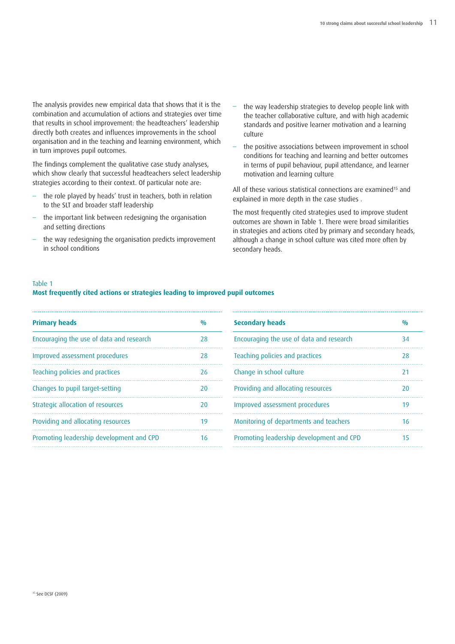The analysis provides new empirical data that shows that it is the combination and accumulation of actions and strategies over time that results in school improvement: the headteachers' leadership directly both creates and influences improvements in the school organisation and in the teaching and learning environment, which in turn improves pupil outcomes.

The findings complement the qualitative case study analyses, which show clearly that successful headteachers select leadership strategies according to their context. Of particular note are:

- the role played by heads' trust in teachers, both in relation to the SLT and broader staff leadership
- the important link between redesigning the organisation and setting directions
- the way redesigning the organisation predicts improvement in school conditions
- the way leadership strategies to develop people link with the teacher collaborative culture, and with high academic standards and positive learner motivation and a learning culture
- the positive associations between improvement in school conditions for teaching and learning and better outcomes in terms of pupil behaviour, pupil attendance, and learner motivation and learning culture

All of these various statistical connections are examined<sup>15</sup> and explained in more depth in the case studies .

The most frequently cited strategies used to improve student outcomes are shown in Table 1. There were broad similarities in strategies and actions cited by primary and secondary heads, although a change in school culture was cited more often by secondary heads.

#### Table 1

# **Most frequently cited actions or strategies leading to improved pupil outcomes**

| <b>Primary heads</b><br>0/0              |    | <b>Secondary heads</b>                   |  |
|------------------------------------------|----|------------------------------------------|--|
| Encouraging the use of data and research | 28 | Encouraging the use of data and research |  |
| Improved assessment procedures           | 28 | Teaching policies and practices          |  |
| Teaching policies and practices          | 26 | Change in school culture                 |  |
| Changes to pupil target-setting          | 20 | Providing and allocating resources       |  |
| Strategic allocation of resources        | 20 | Improved assessment procedures           |  |
| Providing and allocating resources       | 19 | Monitoring of departments and teachers   |  |
| Promoting leadership development and CPD | 16 | Promoting leadership development and CPD |  |
|                                          |    |                                          |  |

| <b>Secondary heads</b>                   | 0/0 |
|------------------------------------------|-----|
| Encouraging the use of data and research | 34  |
| Teaching policies and practices          | 28  |
| Change in school culture                 | 21  |
| Providing and allocating resources       | 20  |
| Improved assessment procedures           | 19  |
| Monitoring of departments and teachers   | 16  |
| Promoting leadership development and CPD | 15  |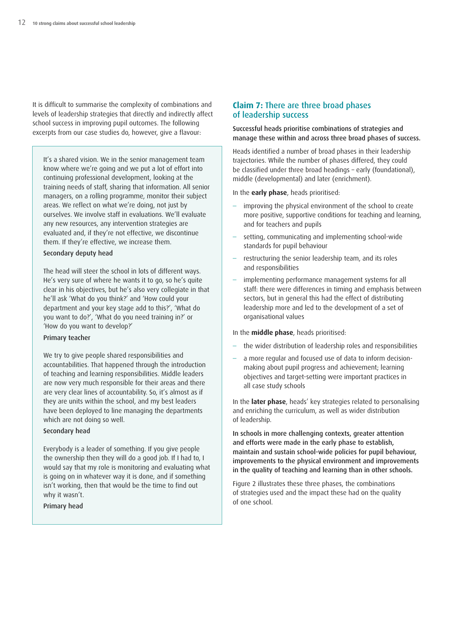<span id="page-13-0"></span>It is difficult to summarise the complexity of combinations and levels of leadership strategies that directly and indirectly affect school success in improving pupil outcomes. The following excerpts from our case studies do, however, give a flavour:

It's a shared vision. We in the senior management team know where we're going and we put a lot of effort into continuing professional development, looking at the training needs of staff, sharing that information. All senior managers, on a rolling programme, monitor their subject areas. We reflect on what we're doing, not just by ourselves. We involve staff in evaluations. We'll evaluate any new resources, any intervention strategies are evaluated and, if they're not effective, we discontinue them. If they're effective, we increase them.

#### **Secondary deputy head**

The head will steer the school in lots of different ways. He's very sure of where he wants it to go, so he's quite clear in his objectives, but he's also very collegiate in that he'll ask 'What do you think?' and 'How could your department and your key stage add to this?', 'What do you want to do?', 'What do you need training in?' or 'How do you want to develop?'

#### **Primary teacher**

We try to give people shared responsibilities and accountabilities. That happened through the introduction of teaching and learning responsibilities. Middle leaders are now very much responsible for their areas and there are very clear lines of accountability. So, it's almost as if they are units within the school, and my best leaders have been deployed to line managing the departments which are not doing so well.

# **Secondary head**

Everybody is a leader of something. If you give people the ownership then they will do a good job. If I had to, I would say that my role is monitoring and evaluating what is going on in whatever way it is done, and if something isn't working, then that would be the time to find out why it wasn't.

### **Primary head**

### **Claim 7: There are three broad phases of leadership success**

#### **Successful heads prioritise combinations of strategies and manage these within and across three broad phases of success.**

Heads identified a number of broad phases in their leadership trajectories. While the number of phases differed, they could be classified under three broad headings – early (foundational), middle (developmental) and later (enrichment).

In the **early phase**, heads prioritised:

- improving the physical environment of the school to create more positive, supportive conditions for teaching and learning, and for teachers and pupils
- setting, communicating and implementing school-wide standards for pupil behaviour
- restructuring the senior leadership team, and its roles and responsibilities
- implementing performance management systems for all staff: there were differences in timing and emphasis between sectors, but in general this had the effect of distributing leadership more and led to the development of a set of organisational values

In the **middle phase**, heads prioritised:

- the wider distribution of leadership roles and responsibilities
- a more regular and focused use of data to inform decisionmaking about pupil progress and achievement; learning objectives and target-setting were important practices in all case study schools

In the **later phase**, heads' key strategies related to personalising and enriching the curriculum, as well as wider distribution of leadership.

**In schools in more challenging contexts, greater attention and efforts were made in the early phase to establish, maintain and sustain school-wide policies for pupil behaviour, improvements to the physical environment and improvements in the quality of teaching and learning than in other schools.**

Figure 2 illustrates these three phases, the combinations of strategies used and the impact these had on the quality of one school.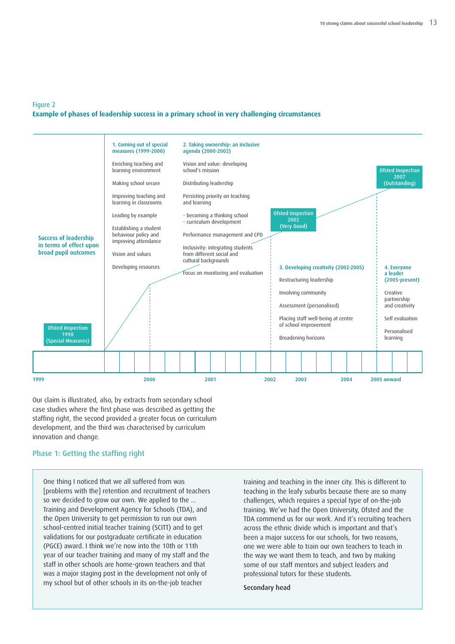# Figure 2 **Example of phases of leadership success in a primary school in very challenging circumstances**



Our claim is illustrated, also, by extracts from secondary school case studies where the first phase was described as getting the staffing right, the second provided a greater focus on curriculum development, and the third was characterised by curriculum innovation and change.

# **Phase 1: Getting the staffing right**

One thing I noticed that we all suffered from was [problems with the] retention and recruitment of teachers so we decided to grow our own. We applied to the ... Training and Development Agency for Schools (TDA), and the Open University to get permission to run our own school-centred initial teacher training (SCITT) and to get validations for our postgraduate certificate in education (PGCE) award. I think we're now into the 10th or 11th year of our teacher training and many of my staff and the staff in other schools are home-grown teachers and that was a major staging post in the development not only of my school but of other schools in its on-the-job teacher

training and teaching in the inner city. This is different to teaching in the leafy suburbs because there are so many challenges, which requires a special type of on-the-job training. We've had the Open University, Ofsted and the TDA commend us for our work. And it's recruiting teachers across the ethnic divide which is important and that's been a major success for our schools, for two reasons, one we were able to train our own teachers to teach in the way we want them to teach, and two by making some of our staff mentors and subject leaders and professional tutors for these students.

**Secondary head**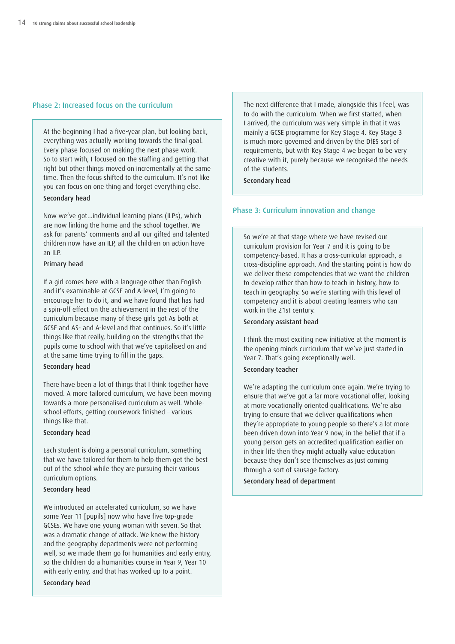## **Phase 2: Increased focus on the curriculum**

At the beginning I had a five-year plan, but looking back, everything was actually working towards the final goal. Every phase focused on making the next phase work. So to start with, I focused on the staffing and getting that right but other things moved on incrementally at the same time. Then the focus shifted to the curriculum. It's not like you can focus on one thing and forget everything else.

# **Secondary head**

Now we've got...individual learning plans (ILPs), which are now linking the home and the school together. We ask for parents' comments and all our gifted and talented children now have an ILP, all the children on action have an ILP.

# **Primary head**

If a girl comes here with a language other than English and it's examinable at GCSE and A-level, I'm going to encourage her to do it, and we have found that has had a spin-off effect on the achievement in the rest of the curriculum because many of these girls got As both at GCSE and AS- and A-level and that continues. So it's little things like that really, building on the strengths that the pupils come to school with that we've capitalised on and at the same time trying to fill in the gaps.

### **Secondary head**

There have been a lot of things that I think together have moved. A more tailored curriculum, we have been moving towards a more personalised curriculum as well. Wholeschool efforts, getting coursework finished – various things like that.

#### **Secondary head**

Each student is doing a personal curriculum, something that we have tailored for them to help them get the best out of the school while they are pursuing their various curriculum options.

### **Secondary head**

We introduced an accelerated curriculum, so we have some Year 11 [pupils] now who have five top-grade GCSEs. We have one young woman with seven. So that was a dramatic change of attack. We knew the history and the geography departments were not performing well, so we made them go for humanities and early entry, so the children do a humanities course in Year 9, Year 10 with early entry, and that has worked up to a point.

**Secondary head**

The next difference that I made, alongside this I feel, was to do with the curriculum. When we first started, when I arrived, the curriculum was very simple in that it was mainly a GCSE programme for Key Stage 4. Key Stage 3 is much more governed and driven by the DfES sort of requirements, but with Key Stage 4 we began to be very creative with it, purely because we recognised the needs of the students.

**Secondary head**

# **Phase 3: Curriculum innovation and change**

So we're at that stage where we have revised our curriculum provision for Year 7 and it is going to be competency-based. It has a cross-curricular approach, a cross-discipline approach. And the starting point is how do we deliver these competencies that we want the children to develop rather than how to teach in history, how to teach in geography. So we're starting with this level of competency and it is about creating learners who can work in the 21st century.

#### **Secondary assistant head**

I think the most exciting new initiative at the moment is the opening minds curriculum that we've just started in Year 7. That's going exceptionally well.

#### **Secondary teacher**

We're adapting the curriculum once again. We're trying to ensure that we've got a far more vocational offer, looking at more vocationally oriented qualifications. We're also trying to ensure that we deliver qualifications when they're appropriate to young people so there's a lot more been driven down into Year 9 now, in the belief that if a young person gets an accredited qualification earlier on in their life then they might actually value education because they don't see themselves as just coming through a sort of sausage factory.

**Secondary head of department**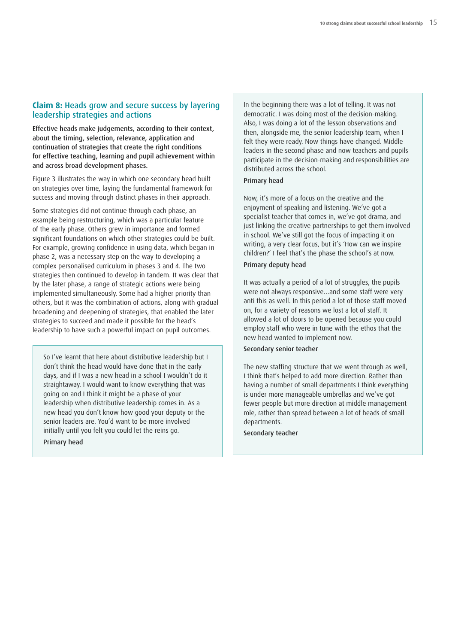# <span id="page-16-0"></span>**Claim 8: Heads grow and secure success by layering leadership strategies and actions**

**Effective heads make judgements, according to their context, about the timing, selection, relevance, application and continuation of strategies that create the right conditions for effective teaching, learning and pupil achievement within and across broad development phases.**

Figure 3 illustrates the way in which one secondary head built on strategies over time, laying the fundamental framework for success and moving through distinct phases in their approach.

Some strategies did not continue through each phase, an example being restructuring, which was a particular feature of the early phase. Others grew in importance and formed significant foundations on which other strategies could be built. For example, growing confidence in using data, which began in phase 2, was a necessary step on the way to developing a complex personalised curriculum in phases 3 and 4. The two strategies then continued to develop in tandem. It was clear that by the later phase, a range of strategic actions were being implemented simultaneously. Some had a higher priority than others, but it was the combination of actions, along with gradual broadening and deepening of strategies, that enabled the later strategies to succeed and made it possible for the head's leadership to have such a powerful impact on pupil outcomes.

So I've learnt that here about distributive leadership but I don't think the head would have done that in the early days, and if I was a new head in a school I wouldn't do it straightaway. I would want to know everything that was going on and I think it might be a phase of your leadership when distributive leadership comes in. As a new head you don't know how good your deputy or the senior leaders are. You'd want to be more involved initially until you felt you could let the reins go.

**Primary head**

In the beginning there was a lot of telling. It was not democratic. I was doing most of the decision-making. Also, I was doing a lot of the lesson observations and then, alongside me, the senior leadership team, when I felt they were ready. Now things have changed. Middle leaders in the second phase and now teachers and pupils participate in the decision-making and responsibilities are distributed across the school.

#### **Primary head**

Now, it's more of a focus on the creative and the enjoyment of speaking and listening. We've got a specialist teacher that comes in, we've got drama, and just linking the creative partnerships to get them involved in school. We've still got the focus of impacting it on writing, a very clear focus, but it's 'How can we inspire children?' I feel that's the phase the school's at now.

### **Primary deputy head**

It was actually a period of a lot of struggles, the pupils were not always responsive…and some staff were very anti this as well. In this period a lot of those staff moved on, for a variety of reasons we lost a lot of staff. It allowed a lot of doors to be opened because you could employ staff who were in tune with the ethos that the new head wanted to implement now.

#### **Secondary senior teacher**

The new staffing structure that we went through as well, I think that's helped to add more direction. Rather than having a number of small departments I think everything is under more manageable umbrellas and we've got fewer people but more direction at middle management role, rather than spread between a lot of heads of small departments.

**Secondary teacher**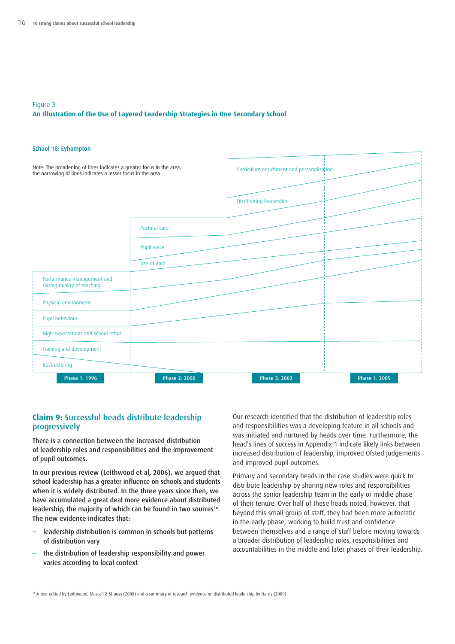#### <span id="page-17-0"></span>Figure 3 **An Illustration of the Use of Layered Leadership Strategies in One Secondary School**

| School 18: Eyhampton                                                                                                                |               |                                           |               |
|-------------------------------------------------------------------------------------------------------------------------------------|---------------|-------------------------------------------|---------------|
| Note: The broadening of lines indicates a greater focus in the area,<br>the narrowing of lines indicates a lesser focus in the area |               | Curriculum enrichment and personalisation |               |
|                                                                                                                                     |               | Distributing leadership                   |               |
|                                                                                                                                     | Pastoral care |                                           |               |
|                                                                                                                                     | Pupil voice   |                                           |               |
|                                                                                                                                     | Use of data   |                                           |               |
| Performance management and<br>raising quality of teaching                                                                           |               |                                           |               |
| Physical environment                                                                                                                |               |                                           |               |
| Pupil behaviour                                                                                                                     |               |                                           |               |
| High expectations and school ethos                                                                                                  |               |                                           |               |
| Training and development                                                                                                            |               |                                           |               |
| Restructuring                                                                                                                       |               |                                           |               |
| Phase 1: 1996                                                                                                                       | Phase 2: 2000 | Phase 3: 2002                             | Phase 1: 2005 |

# **Claim 9: Successful heads distribute leadership progressively**

**There is a connection between the increased distribution of leadership roles and responsibilities and the improvement of pupil outcomes.**

**In our previous review (Leithwood et al, 2006), we argued that school leadership has a greater influence on schools and students when it is widely distributed. In the three years since then, we have accumulated a great deal more evidence about distributed leadership, the majority of which can be found in two sources16. The new evidence indicates that:**

- **– leadership distribution is common in schools but patterns of distribution vary**
- **– the distribution of leadership responsibility and power varies according to local context**

Our research identified that the distribution of leadership roles and responsibilities was a developing feature in all schools and was initiated and nurtured by heads over time. Furthermore, the head's lines of success in Appendix 1 indicate likely links between increased distribution of leadership, improved Ofsted judgements and improved pupil outcomes.

Primary and secondary heads in the case studies were quick to distribute leadership by sharing new roles and responsibilities across the senior leadership team in the early or middle phase of their tenure. Over half of these heads noted, however, that beyond this small group of staff, they had been more autocratic in the early phase, working to build trust and confidence between themselves and a range of staff before moving towards a broader distribution of leadership roles, responsibilities and accountabilities in the middle and later phases of their leadership.

<sup>16</sup> A text edited by Leithwood, Mascall & Strauss (2008) and a summary of research evidence on distributed leadership by Harris (2009)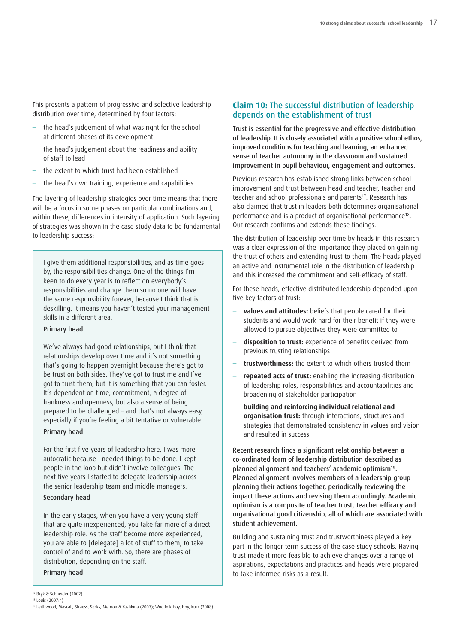<span id="page-18-0"></span>This presents a pattern of progressive and selective leadership distribution over time, determined by four factors:

- the head's judgement of what was right for the school at different phases of its development
- the head's judgement about the readiness and ability of staff to lead
- the extent to which trust had been established
- the head's own training, experience and capabilities

The layering of leadership strategies over time means that there will be a focus in some phases on particular combinations and, within these, differences in intensity of application. Such layering of strategies was shown in the case study data to be fundamental to leadership success:

I give them additional responsibilities, and as time goes by, the responsibilities change. One of the things I'm keen to do every year is to reflect on everybody's responsibilities and change them so no one will have the same responsibility forever, because I think that is deskilling. It means you haven't tested your management skills in a different area.

## **Primary head**

We've always had good relationships, but I think that relationships develop over time and it's not something that's going to happen overnight because there's got to be trust on both sides. They've got to trust me and I've got to trust them, but it is something that you can foster. It's dependent on time, commitment, a degree of frankness and openness, but also a sense of being prepared to be challenged – and that's not always easy, especially if you're feeling a bit tentative or vulnerable. **Primary head**

# For the first five years of leadership here, I was more autocratic because I needed things to be done. I kept

people in the loop but didn't involve colleagues. The next five years I started to delegate leadership across the senior leadership team and middle managers.

# **Secondary head**

In the early stages, when you have a very young staff that are quite inexperienced, you take far more of a direct leadership role. As the staff become more experienced, you are able to [delegate] a lot of stuff to them, to take control of and to work with. So, there are phases of distribution, depending on the staff.

#### **Primary head**

# **Claim 10: The successful distribution of leadership depends on the establishment of trust**

**Trust is essential for the progressive and effective distribution of leadership. It is closely associated with a positive school ethos, improved conditions for teaching and learning, an enhanced sense of teacher autonomy in the classroom and sustained improvement in pupil behaviour, engagement and outcomes.**

Previous research has established strong links between school improvement and trust between head and teacher, teacher and teacher and school professionals and parents<sup>17</sup>. Research has also claimed that trust in leaders both determines organisational performance and is a product of organisational performance18. Our research confirms and extends these findings.

The distribution of leadership over time by heads in this research was a clear expression of the importance they placed on gaining the trust of others and extending trust to them. The heads played an active and instrumental role in the distribution of leadership and this increased the commitment and self-efficacy of staff.

For these heads, effective distributed leadership depended upon five key factors of trust:

- **values and attitudes:** beliefs that people cared for their students and would work hard for their benefit if they were allowed to pursue objectives they were committed to
- **disposition to trust:** experience of benefits derived from previous trusting relationships
- **trustworthiness:** the extent to which others trusted them
- **repeated acts of trust:** enabling the increasing distribution of leadership roles, responsibilities and accountabilities and broadening of stakeholder participation
- **building and reinforcing individual relational and organisation trust:** through interactions, structures and strategies that demonstrated consistency in values and vision and resulted in success

**Recent research finds a significant relationship between a co-ordinated form of leadership distribution described as planned alignment and teachers' academic optimism19. Planned alignment involves members of a leadership group planning their actions together, periodically reviewing the impact these actions and revising them accordingly. Academic optimism is a composite of teacher trust, teacher efficacy and organisational good citizenship, all of which are associated with student achievement.**

Building and sustaining trust and trustworthiness played a key part in the longer term success of the case study schools. Having trust made it more feasible to achieve changes over a range of aspirations, expectations and practices and heads were prepared to take informed risks as a result.

<sup>17</sup> Bryk & Schneider (2002) <sup>18</sup> Louis (2007:4)

<sup>19</sup> Leithwood, Mascall, Strauss, Sacks, Memon & Yashkina (2007); Woolfolk Hoy, Hoy, Kurz (2008)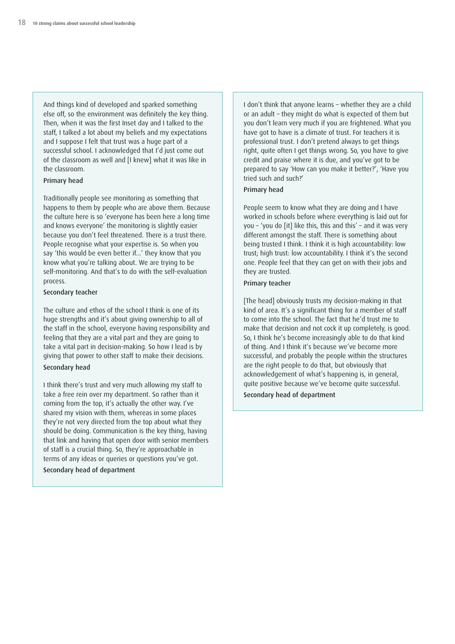And things kind of developed and sparked something else off, so the environment was definitely the key thing. Then, when it was the first Inset day and I talked to the staff, I talked a lot about my beliefs and my expectations and I suppose I felt that trust was a huge part of a successful school. I acknowledged that I'd just come out of the classroom as well and [I knew] what it was like in the classroom.

#### **Primary head**

Traditionally people see monitoring as something that happens to them by people who are above them. Because the culture here is so 'everyone has been here a long time and knows everyone' the monitoring is slightly easier because you don't feel threatened. There is a trust there. People recognise what your expertise is. So when you say 'this would be even better if...' they know that you know what you're talking about. We are trying to be self-monitoring. And that's to do with the self-evaluation process.

#### **Secondary teacher**

The culture and ethos of the school I think is one of its huge strengths and it's about giving ownership to all of the staff in the school, everyone having responsibility and feeling that they are a vital part and they are going to take a vital part in decision-making. So how I lead is by giving that power to other staff to make their decisions.

# **Secondary head**

I think there's trust and very much allowing my staff to take a free rein over my department. So rather than it coming from the top, it's actually the other way. I've shared my vision with them, whereas in some places they're not very directed from the top about what they should be doing. Communication is the key thing, having that link and having that open door with senior members of staff is a crucial thing. So, they're approachable in terms of any ideas or queries or questions you've got.

**Secondary head of department**

I don't think that anyone learns – whether they are a child or an adult – they might do what is expected of them but you don't learn very much if you are frightened. What you have got to have is a climate of trust. For teachers it is professional trust. I don't pretend always to get things right, quite often I get things wrong. So, you have to give credit and praise where it is due, and you've got to be prepared to say 'How can you make it better?', 'Have you tried such and such?'

#### **Primary head**

People seem to know what they are doing and I have worked in schools before where everything is laid out for you – 'you do [it] like this, this and this' – and it was very different amongst the staff. There is something about being trusted I think. I think it is high accountability: low trust; high trust: low accountability. I think it's the second one. People feel that they can get on with their jobs and they are trusted.

#### **Primary teacher**

[The head] obviously trusts my decision-making in that kind of area. It's a significant thing for a member of staff to come into the school. The fact that he'd trust me to make that decision and not cock it up completely, is good. So, I think he's become increasingly able to do that kind of thing. And I think it's because we've become more successful, and probably the people within the structures are the right people to do that, but obviously that acknowledgement of what's happening is, in general, quite positive because we've become quite successful.

**Secondary head of department**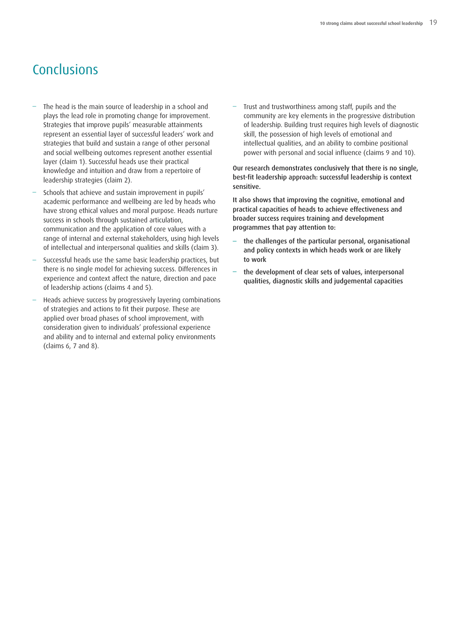# <span id="page-20-0"></span>Conclusions

- The head is the main source of leadership in a school and plays the lead role in promoting change for improvement. Strategies that improve pupils' measurable attainments represent an essential layer of successful leaders' work and strategies that build and sustain a range of other personal and social wellbeing outcomes represent another essential layer (claim 1). Successful heads use their practical knowledge and intuition and draw from a repertoire of leadership strategies (claim 2).
- Schools that achieve and sustain improvement in pupils' academic performance and wellbeing are led by heads who have strong ethical values and moral purpose. Heads nurture success in schools through sustained articulation, communication and the application of core values with a range of internal and external stakeholders, using high levels of intellectual and interpersonal qualities and skills (claim 3).
- Successful heads use the same basic leadership practices, but there is no single model for achieving success. Differences in experience and context affect the nature, direction and pace of leadership actions (claims 4 and 5).
- Heads achieve success by progressively layering combinations of strategies and actions to fit their purpose. These are applied over broad phases of school improvement, with consideration given to individuals' professional experience and ability and to internal and external policy environments (claims 6, 7 and 8).

– Trust and trustworthiness among staff, pupils and the community are key elements in the progressive distribution of leadership. Building trust requires high levels of diagnostic skill, the possession of high levels of emotional and intellectual qualities, and an ability to combine positional power with personal and social influence (claims 9 and 10).

**Our research demonstrates conclusively that there is no single, best-fit leadership approach: successful leadership is context sensitive.**

**It also shows that improving the cognitive, emotional and practical capacities of heads to achieve effectiveness and broader success requires training and development programmes that pay attention to:**

- **– the challenges of the particular personal, organisational and policy contexts in which heads work or are likely to work**
- **– the development of clear sets of values, interpersonal qualities, diagnostic skills and judgemental capacities**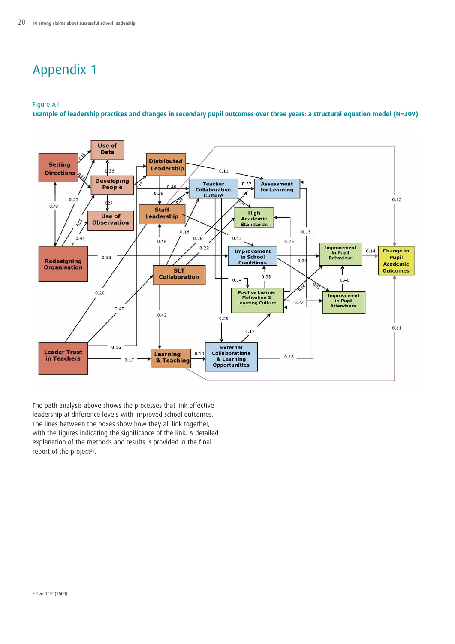# <span id="page-21-0"></span>Appendix 1

#### Figure A1

Example of leadership practices and changes in secondary pupil outcomes over three years: a structural equation model (N=309)



The path analysis above shows the processes that link effective leadership at difference levels with improved school outcomes. The lines between the boxes show how they all link together, with the figures indicating the significance of the link. A detailed explanation of the methods and results is provided in the final report of the project<sup>20</sup>.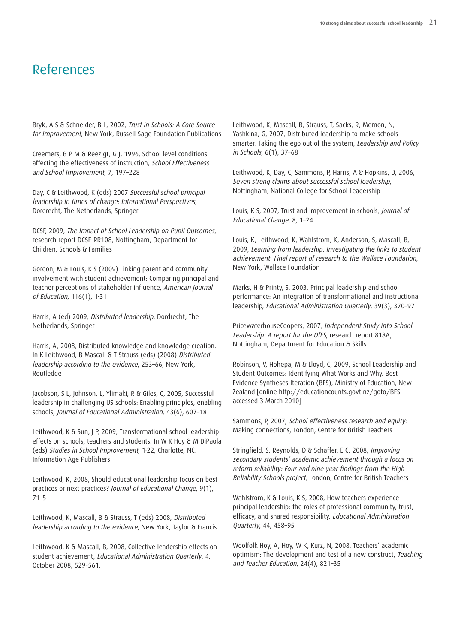# <span id="page-22-0"></span>References

Bryk, A S & Schneider, B L, 2002, Trust in Schools: <sup>A</sup> Core Source for Improvement, New York, Russell Sage Foundation Publications

Creemers, B P M & Reezigt, G J, 1996, School level conditions affecting the effectiveness of instruction, School Effectiveness and School Improvement, 7, 197–228

Day, C & Leithwood, K (eds) 2007 Successful school principal leadership in times of change: International Perspectives, Dordrecht, The Netherlands, Springer

DCSF, 2009, The Impact of School Leadership on Pupil Outcomes, research report DCSF-RR108, Nottingham, Department for Children, Schools & Families

Gordon, M & Louis, K S (2009) Linking parent and community involvement with student achievement: Comparing principal and teacher perceptions of stakeholder influence, American Journal of Education, 116(1), 1-31

Harris, A (ed) 2009, Distributed leadership, Dordrecht, The Netherlands, Springer

Harris, A, 2008, Distributed knowledge and knowledge creation. In K Leithwood, B Mascall & T Strauss (eds) (2008) Distributed leadership according to the evidence, 253–66, New York, Routledge

Jacobson, S L, Johnson, L, Ylimaki, R & Giles, C, 2005, Successful leadership in challenging US schools: Enabling principles, enabling schools, Journal of Educational Administration, 43(6), 607–18

Leithwood, K & Sun, J P, 2009, Transformational school leadership effects on schools, teachers and students. In W K Hoy & M DiPaola (eds) Studies in School Improvement, 1-22, Charlotte, NC: Information Age Publishers

Leithwood, K, 2008, Should educational leadership focus on best practices or next practices? Journal of Educational Change, 9(1), 71–5

Leithwood, K, Mascall, B & Strauss, T (eds) 2008, Distributed leadership according to the evidence, New York, Taylor & Francis

Leithwood, K & Mascall, B, 2008, Collective leadership effects on student achievement, Educational Administration Quarterly, 4, October 2008, 529-561.

Leithwood, K, Mascall, B, Strauss, T, Sacks, R, Memon, N, Yashkina, G, 2007, Distributed leadership to make schools smarter: Taking the ego out of the system, Leadership and Policy in Schools, 6(1), 37–68

Leithwood, K, Day, C, Sammons, P, Harris, A & Hopkins, D, 2006, Seven strong claims about successful school leadership, Nottingham, National College for School Leadership

Louis, K S, 2007, Trust and improvement in schools, Journal of Educational Change, 8, 1–24

Louis, K, Leithwood, K, Wahlstrom, K, Anderson, S, Mascall, B, 2009, Learning from leadership: Investigating the links to student achievement: Final report of research to the Wallace Foundation, New York, Wallace Foundation

Marks, H & Printy, S, 2003, Principal leadership and school performance: An integration of transformational and instructional leadership, Educational Administration Quarterly, 39(3), 370–97

PricewaterhouseCoopers, 2007, Independent Study into School Leadership: <sup>A</sup> report for the DfES, research report 818A, Nottingham, Department for Education & Skills

Robinson, V, Hohepa, M & Lloyd, C, 2009, School Leadership and Student Outcomes: Identifying What Works and Why. Best Evidence Syntheses Iteration (BES), Ministry of Education, New Zealand [online http://educationcounts.govt.nz/goto/BES accessed 3 March 2010]

Sammons, P, 2007, School effectiveness research and equity: Making connections, London, Centre for British Teachers

Stringfield, S, Reynolds, D & Schaffer, E C, 2008, Improving secondary students' academic achievement through <sup>a</sup> focus on reform reliability: Four and nine year findings from the High Reliability Schools project, London, Centre for British Teachers

Wahlstrom, K & Louis, K S, 2008, How teachers experience principal leadership: the roles of professional community, trust, efficacy, and shared responsibility, Educational Administration Quarterly, 44, 458–95

Woolfolk Hoy, A, Hoy, W K, Kurz, N, 2008, Teachers' academic optimism: The development and test of a new construct, Teaching and Teacher Education, 24(4), 821–35